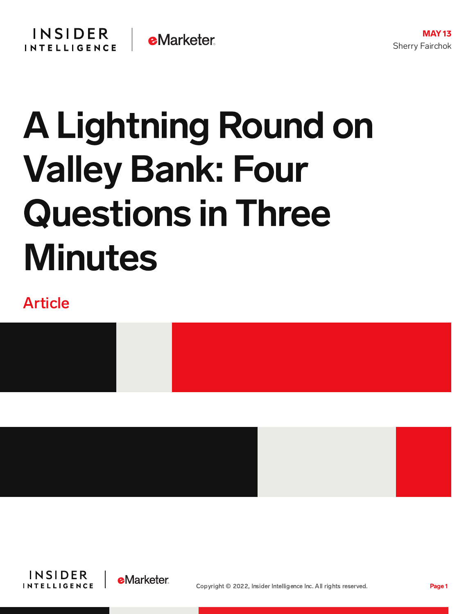# A Lightning Round on Valley Bank: Four Questions in Three **Minutes**

# Article





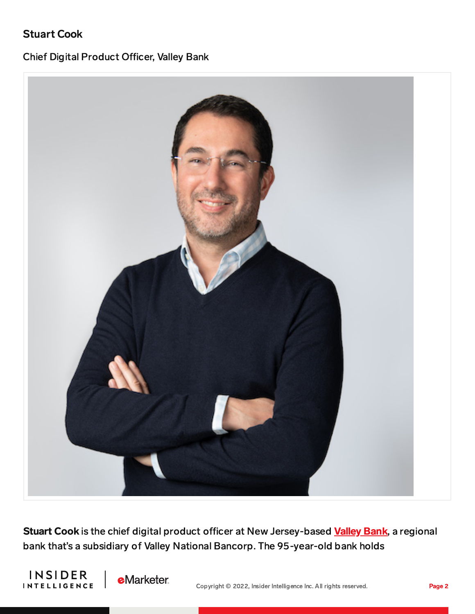### Stuart Cook

#### Chief Digital Product Officer, Valley Bank



Stuart Cook is the chief digital product officer at New Jersey-based [Valley](https://www.valley.com/) Bank, a regional bank that's a subsidiary of Valley National Bancorp. The 95-year-old bank holds



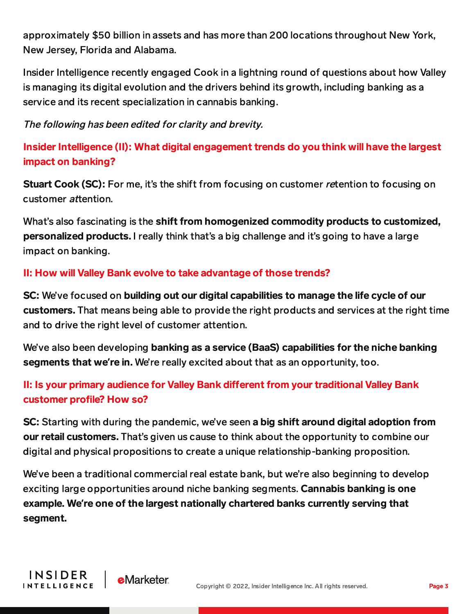approximately \$50 billion in assets and has more than 200 locations throughout New York, New Jersey, Florida and Alabama.

Insider Intelligence recently engaged Cook in a lightning round of questions about how Valley is managing its digital evolution and the drivers behind its growth, including banking as a service and its recent specialization in cannabis banking.

The following has been edited for clarity and brevity.

Insider Intelligence (II): What digital engagement trends do you think will have the largest impact on banking?

**Stuart Cook (SC):** For me, it's the shift from focusing on customer retention to focusing on customer attention.

What's also fascinating is the shift from homogenized commodity products to customized, personalized products. I really think that's a big challenge and it's going to have a large impact on banking.

#### II: How will Valley Bank evolve to take advantage of those trends?

SC: We've focused on building out our digital capabilities to manage the life cycle of our customers. That means being able to provide the right products and services at the right time and to drive the right level of customer attention.

We've also been developing banking as a service (BaaS) capabilities for the niche banking segments that we**'**re in. We're really excited about that as an opportunity, too.

# II: Is your primary audience for Valley Bank different from your traditional Valley Bank customer profile? How so?

SC: Starting with during the pandemic, we've seen a big shift around digital adoption from our retail customers. That's given us cause to think about the opportunity to combine our digital and physical propositions to create a unique relationship-banking proposition.

We've been a traditional commercial real estate bank, but we're also beginning to develop exciting large opportunities around niche banking segments. **Cannabis banking is one** example. We**'**re one of the largest nationally chartered banks currently serving that segment.